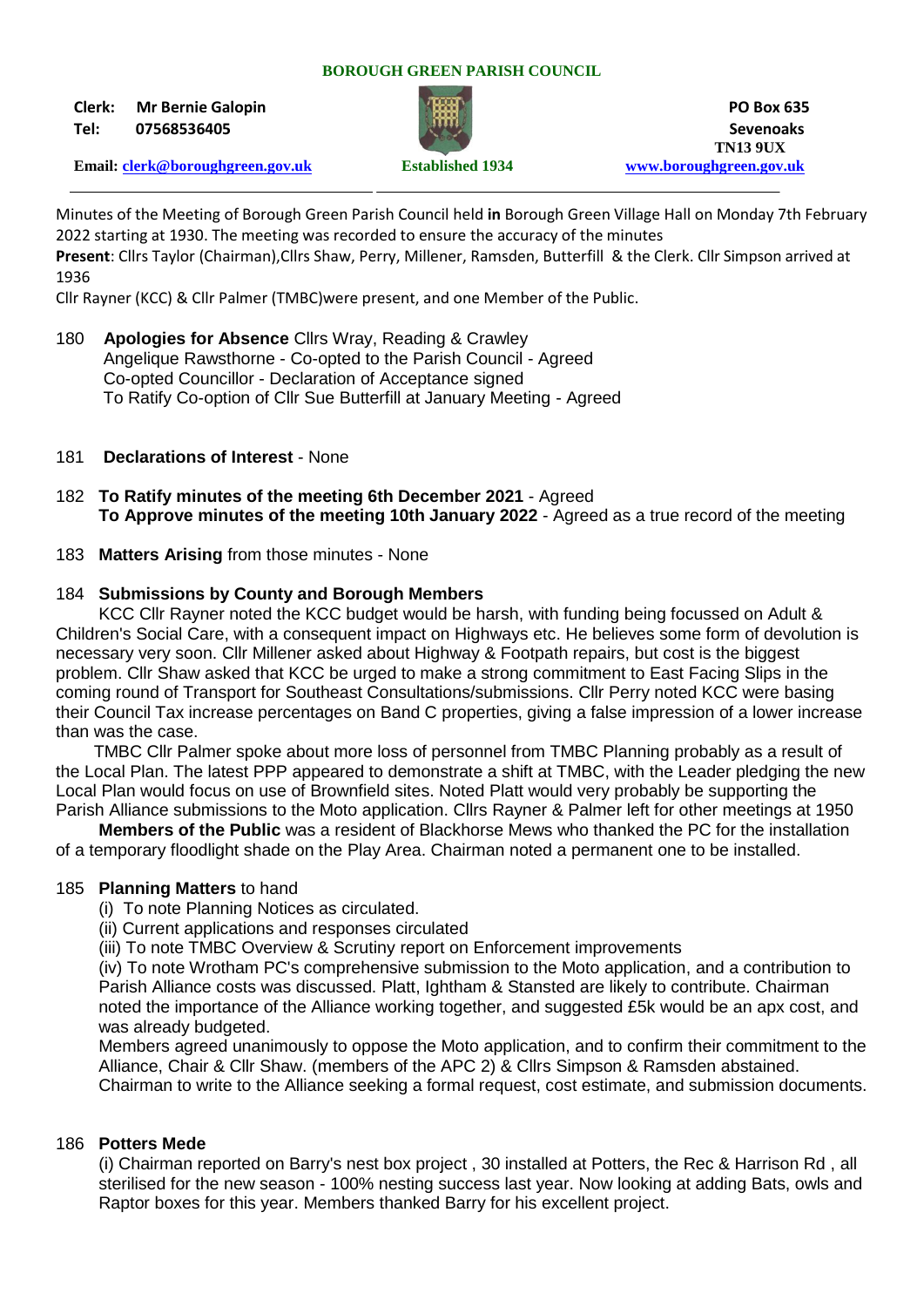#### **BOROUGH GREEN PARISH COUNCIL**

**Clerk: Mr Bernie Galopin PO Box 635**



**Tel: 07568536405 Sevenoaks TN13 9UX Email: [clerk@boroughgreen.gov.uk](mailto:clerk@boroughgreen.gov.uk) Established 1934 [www.boroughgreen.gov.uk](http://www.boroughgreen.gov.uk/)**

Minutes of the Meeting of Borough Green Parish Council held **in** Borough Green Village Hall on Monday 7th February 2022 starting at 1930. The meeting was recorded to ensure the accuracy of the minutes **Present**: Cllrs Taylor (Chairman),Cllrs Shaw, Perry, Millener, Ramsden, Butterfill & the Clerk. Cllr Simpson arrived at 1936

Cllr Rayner (KCC) & Cllr Palmer (TMBC)were present, and one Member of the Public.

- 180 **Apologies for Absence** Cllrs Wray, Reading & Crawley Angelique Rawsthorne - Co-opted to the Parish Council - Agreed Co-opted Councillor - Declaration of Acceptance signed To Ratify Co-option of Cllr Sue Butterfill at January Meeting - Agreed
- 181 **Declarations of Interest** None
- 182 **To Ratify minutes of the meeting 6th December 2021** Agreed **To Approve minutes of the meeting 10th January 2022** - Agreed as a true record of the meeting
- 183 **Matters Arising** from those minutes None

#### 184 **Submissions by County and Borough Members**

KCC Cllr Rayner noted the KCC budget would be harsh, with funding being focussed on Adult & Children's Social Care, with a consequent impact on Highways etc. He believes some form of devolution is necessary very soon. Cllr Millener asked about Highway & Footpath repairs, but cost is the biggest problem. Cllr Shaw asked that KCC be urged to make a strong commitment to East Facing Slips in the coming round of Transport for Southeast Consultations/submissions. Cllr Perry noted KCC were basing their Council Tax increase percentages on Band C properties, giving a false impression of a lower increase than was the case.

 TMBC Cllr Palmer spoke about more loss of personnel from TMBC Planning probably as a result of the Local Plan. The latest PPP appeared to demonstrate a shift at TMBC, with the Leader pledging the new Local Plan would focus on use of Brownfield sites. Noted Platt would very probably be supporting the Parish Alliance submissions to the Moto application. Cllrs Rayner & Palmer left for other meetings at 1950

 **Members of the Public** was a resident of Blackhorse Mews who thanked the PC for the installation of a temporary floodlight shade on the Play Area. Chairman noted a permanent one to be installed.

#### 185 **Planning Matters** to hand

(i) To note Planning Notices as circulated.

(ii) Current applications and responses circulated

(iii) To note TMBC Overview & Scrutiny report on Enforcement improvements

 (iv) To note Wrotham PC's comprehensive submission to the Moto application, and a contribution to Parish Alliance costs was discussed. Platt, Ightham & Stansted are likely to contribute. Chairman noted the importance of the Alliance working together, and suggested £5k would be an apx cost, and was already budgeted.

 Members agreed unanimously to oppose the Moto application, and to confirm their commitment to the Alliance, Chair & Cllr Shaw. (members of the APC 2) & Cllrs Simpson & Ramsden abstained. Chairman to write to the Alliance seeking a formal request, cost estimate, and submission documents.

#### 186 **Potters Mede**

 (i) Chairman reported on Barry's nest box project , 30 installed at Potters, the Rec & Harrison Rd , all sterilised for the new season - 100% nesting success last year. Now looking at adding Bats, owls and Raptor boxes for this year. Members thanked Barry for his excellent project.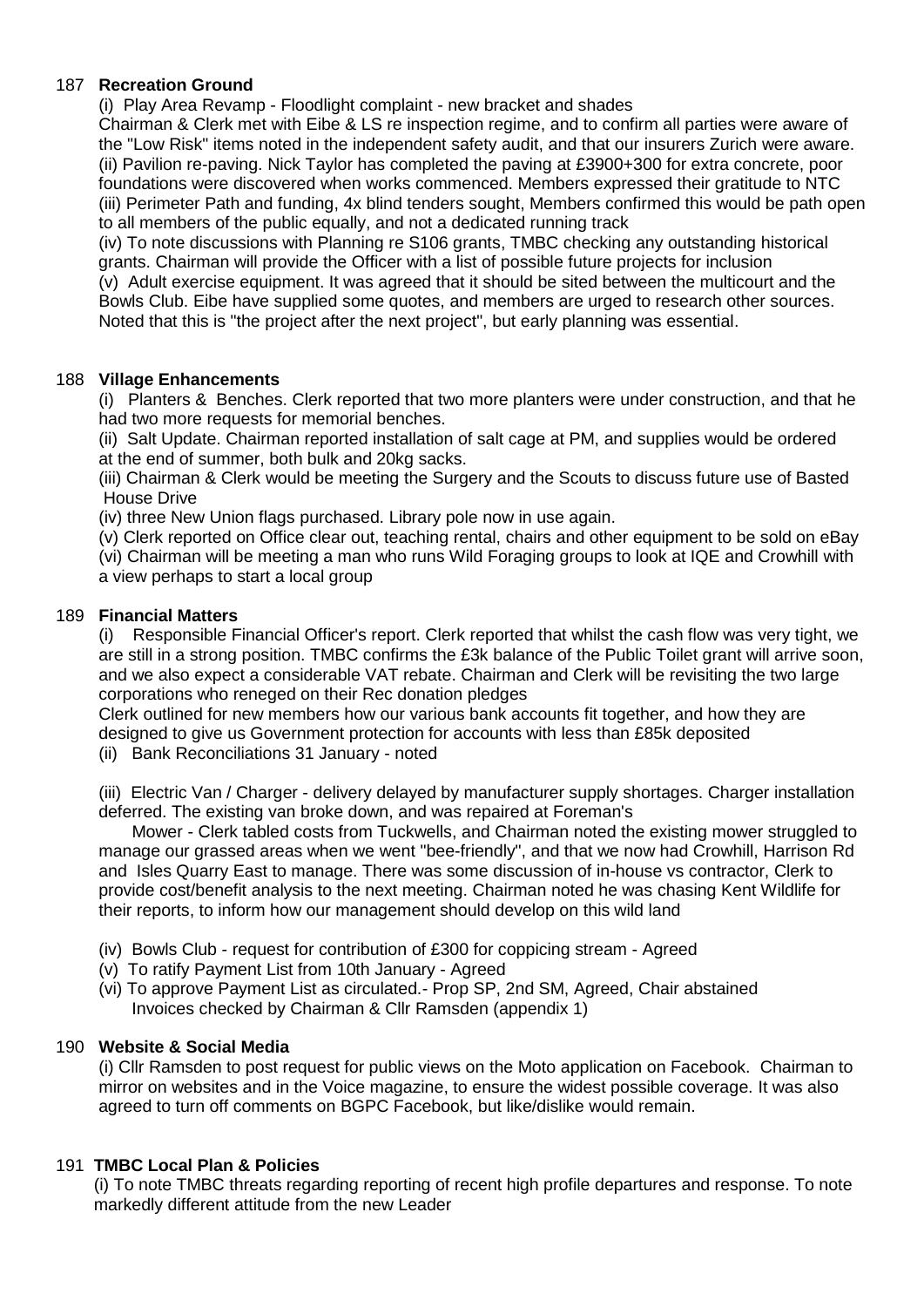## 187 **Recreation Ground**

(i) Play Area Revamp - Floodlight complaint - new bracket and shades

 Chairman & Clerk met with Eibe & LS re inspection regime, and to confirm all parties were aware of the "Low Risk" items noted in the independent safety audit, and that our insurers Zurich were aware. (ii) Pavilion re-paving. Nick Taylor has completed the paving at £3900+300 for extra concrete, poor foundations were discovered when works commenced. Members expressed their gratitude to NTC (iii) Perimeter Path and funding, 4x blind tenders sought, Members confirmed this would be path open to all members of the public equally, and not a dedicated running track

 (iv) To note discussions with Planning re S106 grants, TMBC checking any outstanding historical grants. Chairman will provide the Officer with a list of possible future projects for inclusion (v) Adult exercise equipment. It was agreed that it should be sited between the multicourt and the Bowls Club. Eibe have supplied some quotes, and members are urged to research other sources. Noted that this is "the project after the next project", but early planning was essential.

## 188 **Village Enhancements**

 (i) Planters & Benches. Clerk reported that two more planters were under construction, and that he had two more requests for memorial benches.

 (ii) Salt Update. Chairman reported installation of salt cage at PM, and supplies would be ordered at the end of summer, both bulk and 20kg sacks.

 (iii) Chairman & Clerk would be meeting the Surgery and the Scouts to discuss future use of Basted House Drive

(iv) three New Union flags purchased. Library pole now in use again.

 (v) Clerk reported on Office clear out, teaching rental, chairs and other equipment to be sold on eBay (vi) Chairman will be meeting a man who runs Wild Foraging groups to look at IQE and Crowhill with a view perhaps to start a local group

## 189 **Financial Matters**

Responsible Financial Officer's report. Clerk reported that whilst the cash flow was very tight, we are still in a strong position. TMBC confirms the £3k balance of the Public Toilet grant will arrive soon, and we also expect a considerable VAT rebate. Chairman and Clerk will be revisiting the two large corporations who reneged on their Rec donation pledges

 Clerk outlined for new members how our various bank accounts fit together, and how they are designed to give us Government protection for accounts with less than £85k deposited

(ii) Bank Reconciliations 31 January - noted

 (iii) Electric Van / Charger - delivery delayed by manufacturer supply shortages. Charger installation deferred. The existing van broke down, and was repaired at Foreman's

 Mower - Clerk tabled costs from Tuckwells, and Chairman noted the existing mower struggled to manage our grassed areas when we went "bee-friendly", and that we now had Crowhill, Harrison Rd and Isles Quarry East to manage. There was some discussion of in-house vs contractor, Clerk to provide cost/benefit analysis to the next meeting. Chairman noted he was chasing Kent Wildlife for their reports, to inform how our management should develop on this wild land

- (iv) Bowls Club request for contribution of £300 for coppicing stream Agreed
- (v) To ratify Payment List from 10th January Agreed
- (vi) To approve Payment List as circulated.- Prop SP, 2nd SM, Agreed, Chair abstained Invoices checked by Chairman & Cllr Ramsden (appendix 1)

# 190 **Website & Social Media**

 (i) Cllr Ramsden to post request for public views on the Moto application on Facebook. Chairman to mirror on websites and in the Voice magazine, to ensure the widest possible coverage. It was also agreed to turn off comments on BGPC Facebook, but like/dislike would remain.

# 191 **TMBC Local Plan & Policies**

 (i) To note TMBC threats regarding reporting of recent high profile departures and response. To note markedly different attitude from the new Leader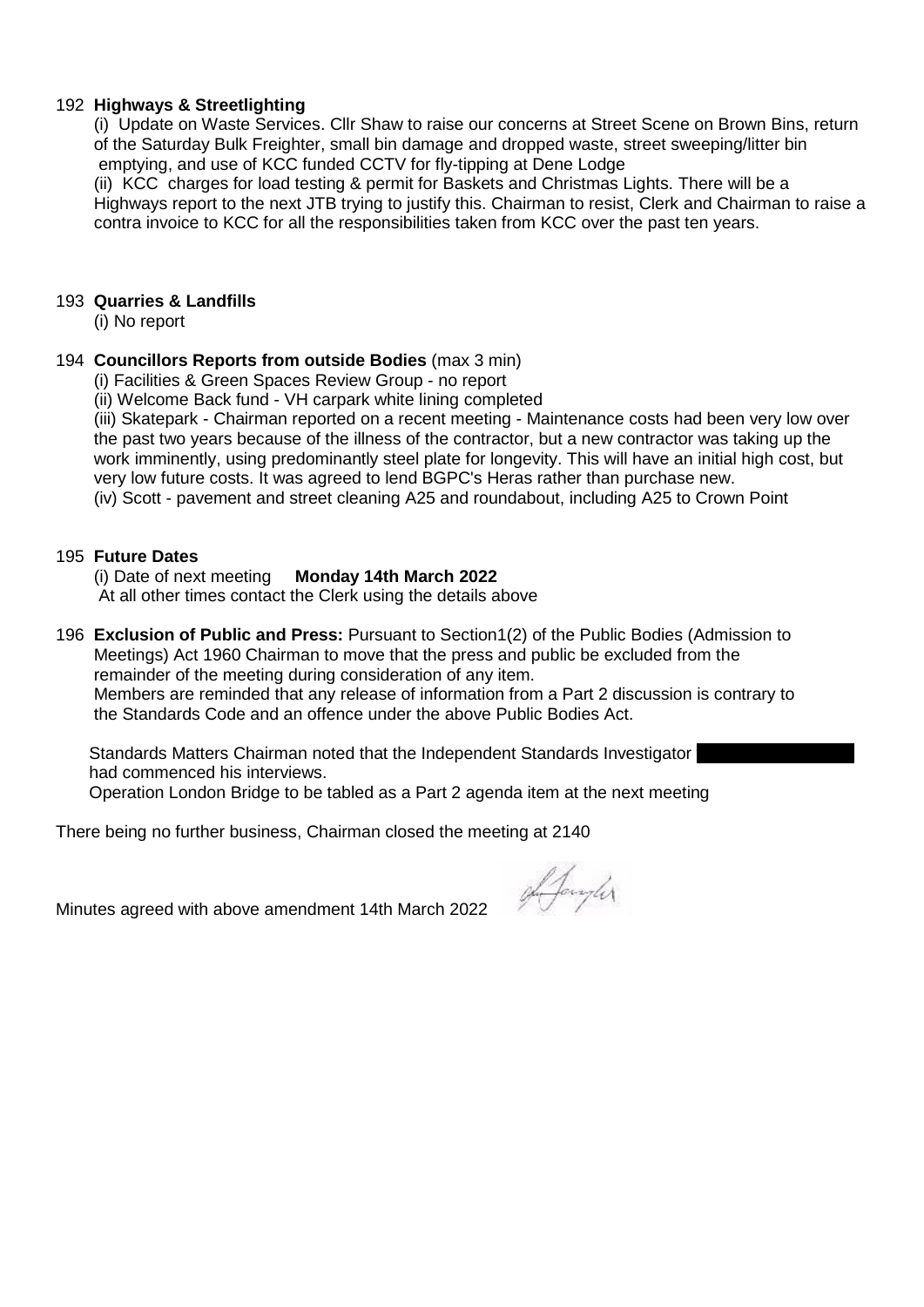## 192 **Highways & Streetlighting**

 (i) Update on Waste Services. Cllr Shaw to raise our concerns at Street Scene on Brown Bins, return of the Saturday Bulk Freighter, small bin damage and dropped waste, street sweeping/litter bin emptying, and use of KCC funded CCTV for fly-tipping at Dene Lodge

 (ii) KCC charges for load testing & permit for Baskets and Christmas Lights. There will be a Highways report to the next JTB trying to justify this. Chairman to resist, Clerk and Chairman to raise a contra invoice to KCC for all the responsibilities taken from KCC over the past ten years.

### 193 **Quarries & Landfills**

(i) No report

### 194 **Councillors Reports from outside Bodies** (max 3 min)

(i) Facilities & Green Spaces Review Group - no report

(ii) Welcome Back fund - VH carpark white lining completed

 (iii) Skatepark - Chairman reported on a recent meeting - Maintenance costs had been very low over the past two years because of the illness of the contractor, but a new contractor was taking up the work imminently, using predominantly steel plate for longevity. This will have an initial high cost, but very low future costs. It was agreed to lend BGPC's Heras rather than purchase new. (iv) Scott - pavement and street cleaning A25 and roundabout, including A25 to Crown Point

195 **Future Dates Monday 14th March 2022** 

At all other times contact the Clerk using the details above

196 **Exclusion of Public and Press:** Pursuant to Section1(2) of the Public Bodies (Admission to Meetings) Act 1960 Chairman to move that the press and public be excluded from the remainder of the meeting during consideration of any item. Members are reminded that any release of information from a Part 2 discussion is contrary to the Standards Code and an offence under the above Public Bodies Act.

Standards Matters Chairman noted that the Independent Standards Investigator had commenced his interviews. Operation London Bridge to be tabled as a Part 2 agenda item at the next meeting

There being no further business, Chairman closed the meeting at 2140

Minutes agreed with above amendment 14th March 2022

Afonyler